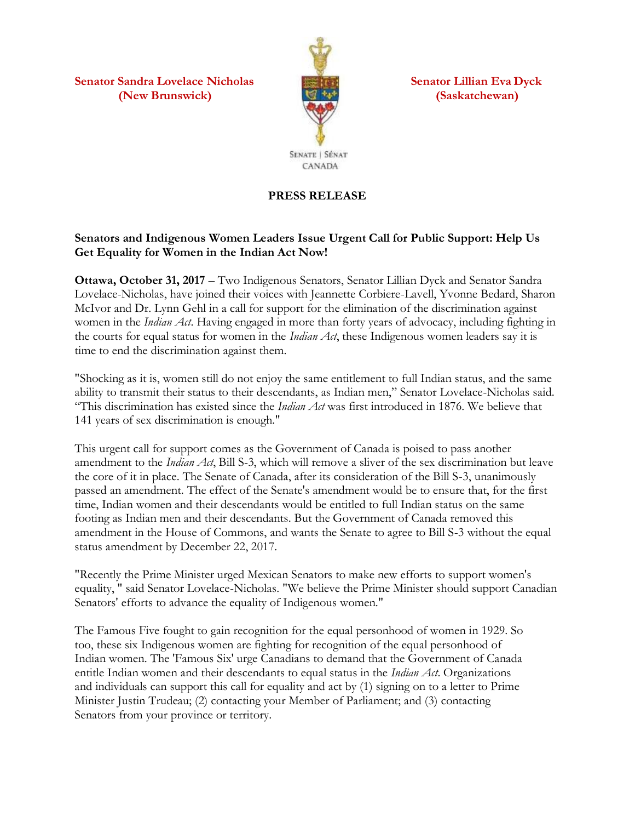**Senator Sandra Lovelace Nicholas Senator Lillian Eva Dyck (New Brunswick) (Saskatchewan)**



**PRESS RELEASE**

## **Senators and Indigenous Women Leaders Issue Urgent Call for Public Support: Help Us Get Equality for Women in the Indian Act Now!**

**Ottawa, October 31, 2017** – Two Indigenous Senators, Senator Lillian Dyck and Senator Sandra Lovelace-Nicholas, have joined their voices with Jeannette Corbiere-Lavell, Yvonne Bedard, Sharon McIvor and Dr. Lynn Gehl in a call for support for the elimination of the discrimination against women in the *Indian Act*. Having engaged in more than forty years of advocacy, including fighting in the courts for equal status for women in the *Indian Act*, these Indigenous women leaders say it is time to end the discrimination against them.

"Shocking as it is, women still do not enjoy the same entitlement to full Indian status, and the same ability to transmit their status to their descendants, as Indian men," Senator Lovelace-Nicholas said. "This discrimination has existed since the *Indian Act* was first introduced in 1876. We believe that 141 years of sex discrimination is enough."

This urgent call for support comes as the Government of Canada is poised to pass another amendment to the *Indian Act*, Bill S-3, which will remove a sliver of the sex discrimination but leave the core of it in place. The Senate of Canada, after its consideration of the Bill S-3, unanimously passed an amendment. The effect of the Senate's amendment would be to ensure that, for the first time, Indian women and their descendants would be entitled to full Indian status on the same footing as Indian men and their descendants. But the Government of Canada removed this amendment in the House of Commons, and wants the Senate to agree to Bill S-3 without the equal status amendment by December 22, 2017.

"Recently the Prime Minister urged Mexican Senators to make new efforts to support women's equality, " said Senator Lovelace-Nicholas. "We believe the Prime Minister should support Canadian Senators' efforts to advance the equality of Indigenous women."

The Famous Five fought to gain recognition for the equal personhood of women in 1929. So too, these six Indigenous women are fighting for recognition of the equal personhood of Indian women. The 'Famous Six' urge Canadians to demand that the Government of Canada entitle Indian women and their descendants to equal status in the *Indian Act*. Organizations and individuals can support this call for equality and act by (1) signing on to a letter to Prime Minister Justin Trudeau; (2) contacting your Member of Parliament; and (3) contacting Senators from your province or territory.